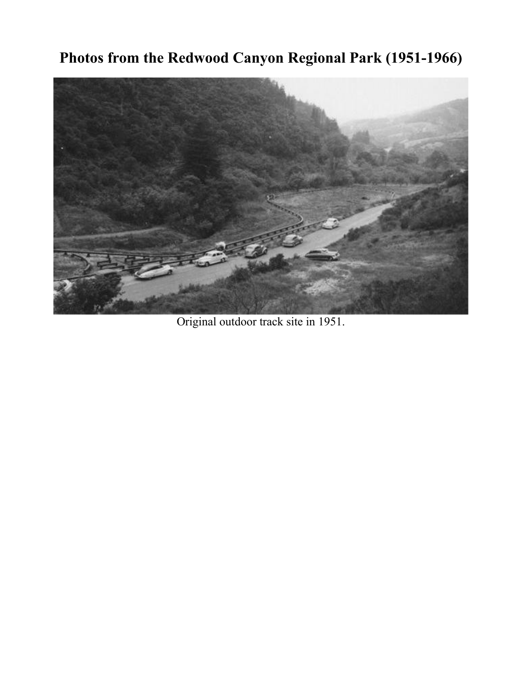## **Photos from the Redwood Canyon Regional Park (1951-1966)**



Original outdoor track site in 1951.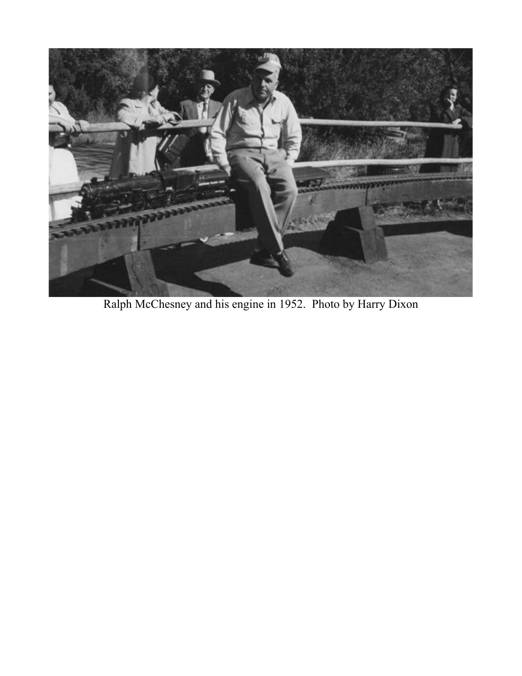

Ralph McChesney and his engine in 1952. Photo by Harry Dixon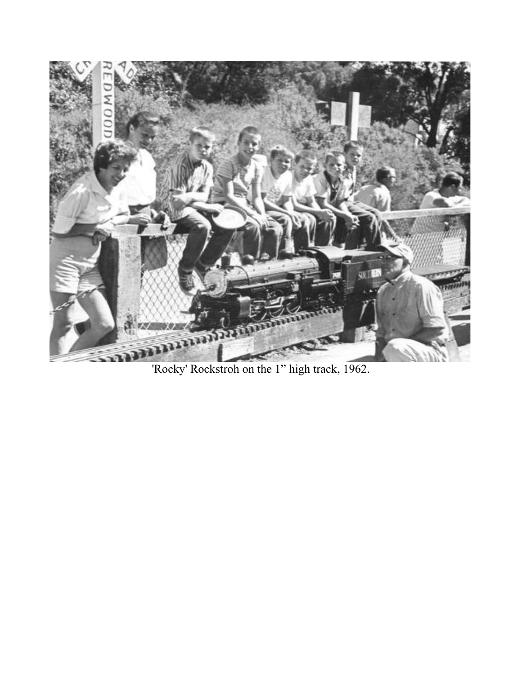

'Rocky' Rockstroh on the 1" high track, 1962.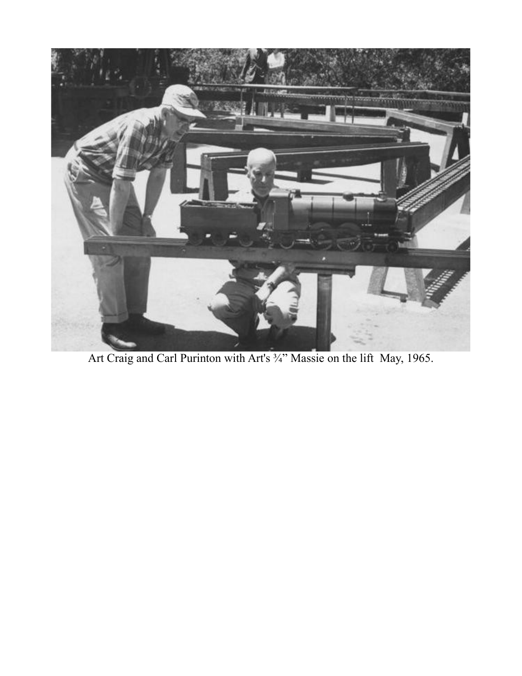

Art Craig and Carl Purinton with Art's <sup>3</sup>/<sub>4</sub>" Massie on the lift May, 1965.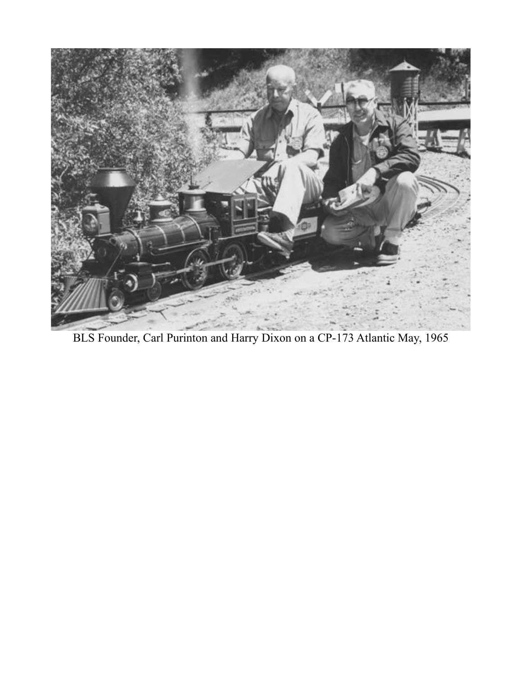

BLS Founder, Carl Purinton and Harry Dixon on a CP-173 Atlantic May, 1965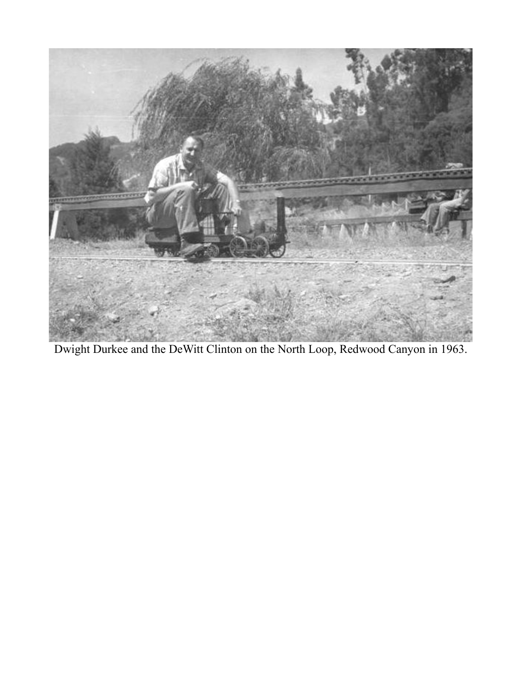

Dwight Durkee and the DeWitt Clinton on the North Loop, Redwood Canyon in 1963.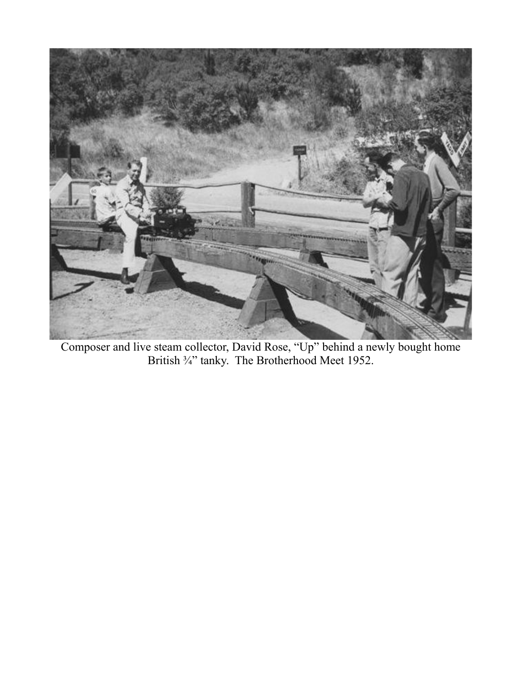

Composer and live steam collector, David Rose, "Up" behind a newly bought home British <sup>3</sup>/<sub>4</sub>" tanky. The Brotherhood Meet 1952.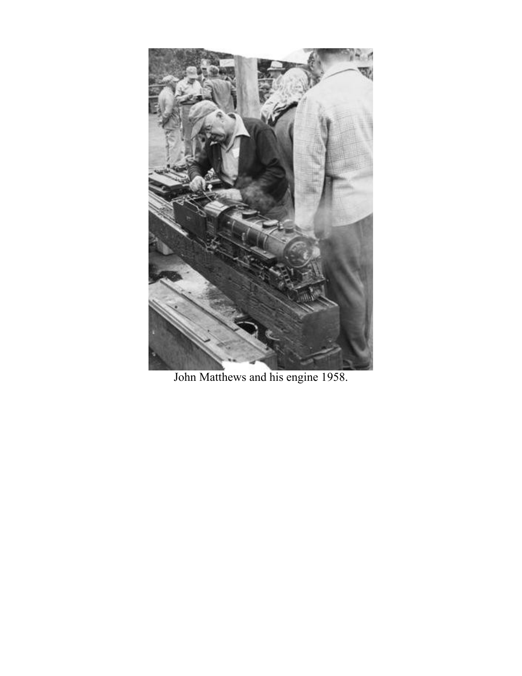

John Matthews and his engine 1958.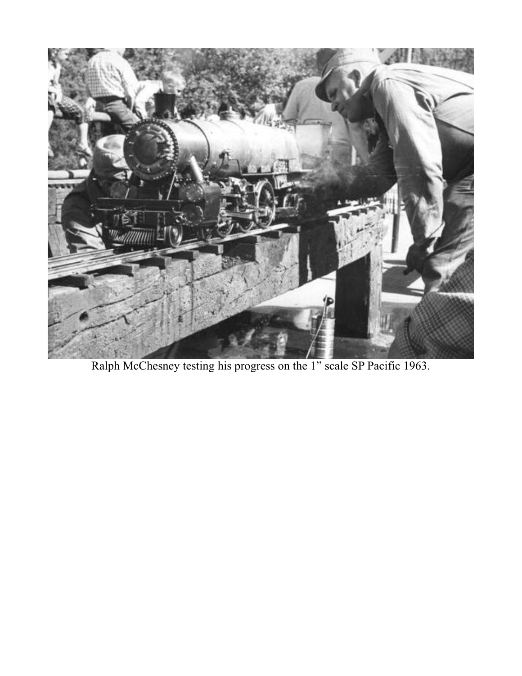

Ralph McChesney testing his progress on the 1" scale SP Pacific 1963.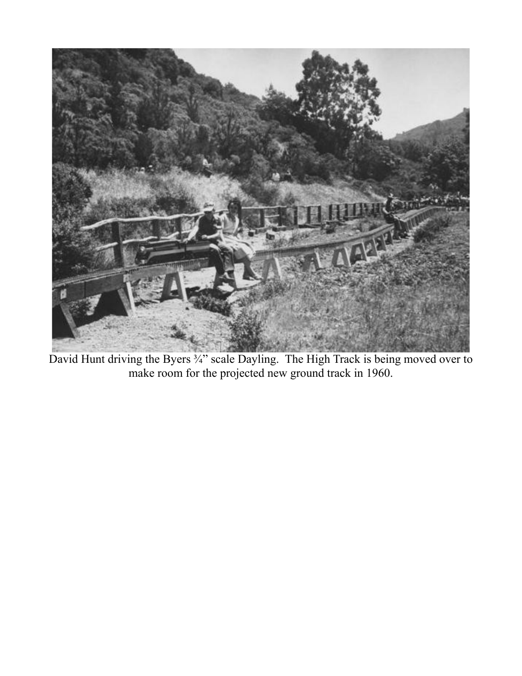

David Hunt driving the Byers 3/4" scale Dayling. The High Track is being moved over to make room for the projected new ground track in 1960.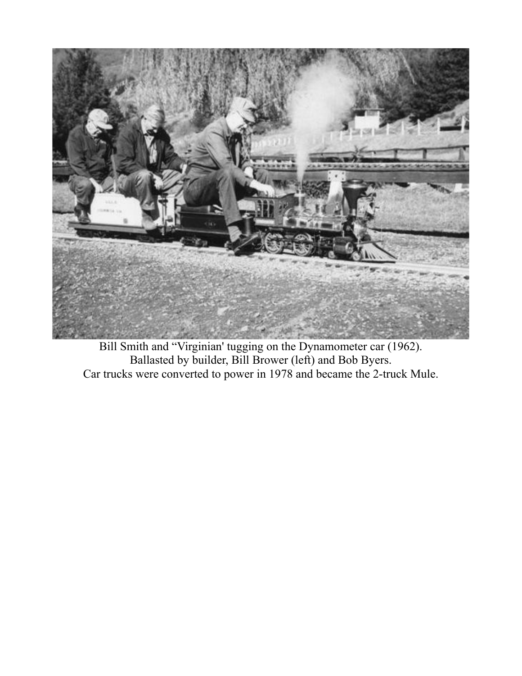

Bill Smith and "Virginian' tugging on the Dynamometer car (1962). Ballasted by builder, Bill Brower (left) and Bob Byers. Car trucks were converted to power in 1978 and became the 2-truck Mule.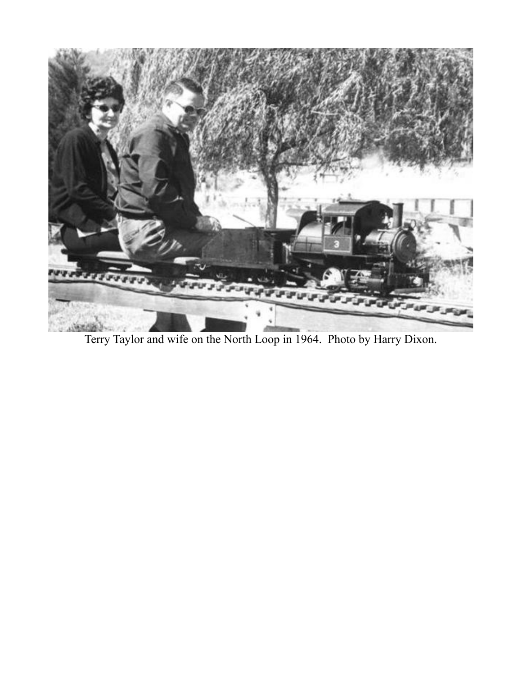

Terry Taylor and wife on the North Loop in 1964. Photo by Harry Dixon.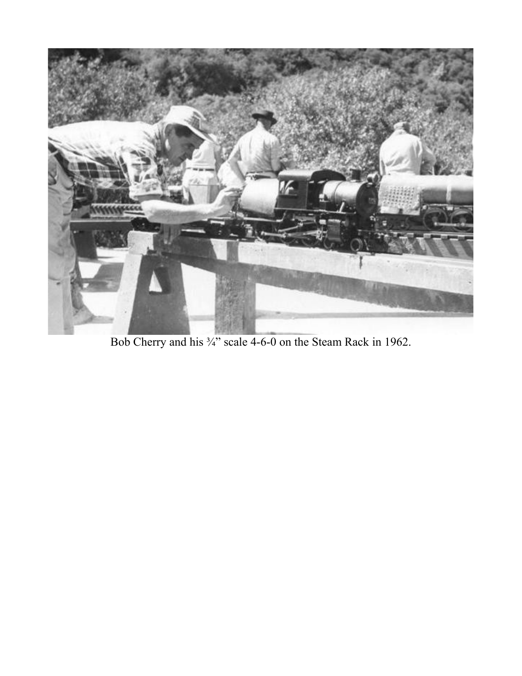

Bob Cherry and his <sup>3</sup>/<sub>4</sub>" scale 4-6-0 on the Steam Rack in 1962.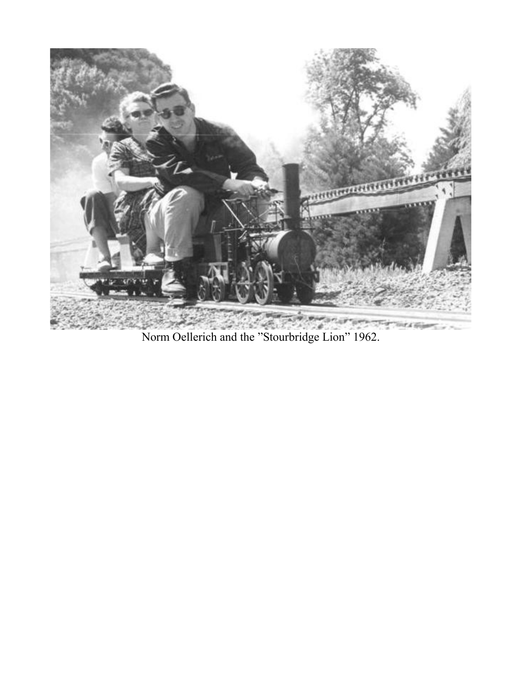